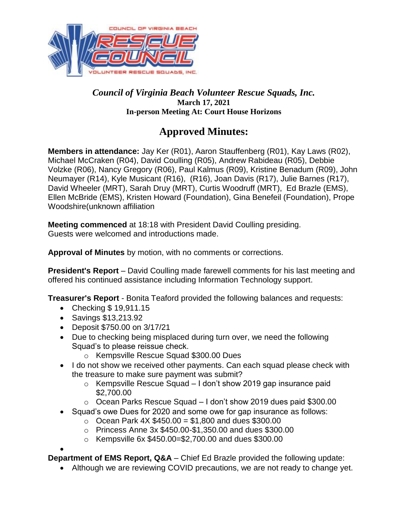

#### *Council of Virginia Beach Volunteer Rescue Squads, Inc.*  **March 17, 2021 In-person Meeting At: Court House Horizons**

# **Approved Minutes:**

**Members in attendance:** Jay Ker (R01), Aaron Stauffenberg (R01), Kay Laws (R02), Michael McCraken (R04), David Coulling (R05), Andrew Rabideau (R05), Debbie Volzke (R06), Nancy Gregory (R06), Paul Kalmus (R09), Kristine Benadum (R09), John Neumayer (R14), Kyle Musicant (R16), (R16), Joan Davis (R17), Julie Barnes (R17), David Wheeler (MRT), Sarah Druy (MRT), Curtis Woodruff (MRT), Ed Brazle (EMS), Ellen McBride (EMS), Kristen Howard (Foundation), Gina Benefeil (Foundation), Prope Woodshire(unknown affiliation

**Meeting commenced** at 18:18 with President David Coulling presiding. Guests were welcomed and introductions made.

**Approval of Minutes** by motion, with no comments or corrections.

**President's Report** – David Coulling made farewell comments for his last meeting and offered his continued assistance including Information Technology support.

**Treasurer's Report** - Bonita Teaford provided the following balances and requests:

- Checking \$19,911.15
- Savings \$13,213.92
- Deposit \$750.00 on 3/17/21
- Due to checking being misplaced during turn over, we need the following Squad's to please reissue check.
	- o Kempsville Rescue Squad \$300.00 Dues
- I do not show we received other payments. Can each squad please check with the treasure to make sure payment was submit?
	- o Kempsville Rescue Squad I don't show 2019 gap insurance paid \$2,700.00
	- o Ocean Parks Rescue Squad I don't show 2019 dues paid \$300.00
- Squad's owe Dues for 2020 and some owe for gap insurance as follows:
	- $\circ$  Ocean Park 4X \$450.00 = \$1,800 and dues \$300.00
	- o Princess Anne 3x \$450.00-\$1,350.00 and dues \$300.00
	- o Kempsville 6x \$450.00=\$2,700.00 and dues \$300.00

 $\bullet$ **Department of EMS Report, Q&A** – Chief Ed Brazle provided the following update:

Although we are reviewing COVID precautions, we are not ready to change yet.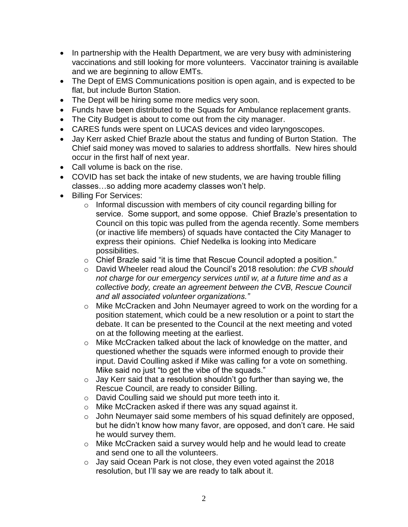- In partnership with the Health Department, we are very busy with administering vaccinations and still looking for more volunteers. Vaccinator training is available and we are beginning to allow EMTs.
- The Dept of EMS Communications position is open again, and is expected to be flat, but include Burton Station.
- The Dept will be hiring some more medics very soon.
- Funds have been distributed to the Squads for Ambulance replacement grants.
- The City Budget is about to come out from the city manager.
- CARES funds were spent on LUCAS devices and video laryngoscopes.
- Jay Kerr asked Chief Brazle about the status and funding of Burton Station. The Chief said money was moved to salaries to address shortfalls. New hires should occur in the first half of next year.
- Call volume is back on the rise.
- COVID has set back the intake of new students, we are having trouble filling classes…so adding more academy classes won't help.
- Billing For Services:
	- o Informal discussion with members of city council regarding billing for service. Some support, and some oppose. Chief Brazle's presentation to Council on this topic was pulled from the agenda recently. Some members (or inactive life members) of squads have contacted the City Manager to express their opinions. Chief Nedelka is looking into Medicare possibilities.
	- o Chief Brazle said "it is time that Rescue Council adopted a position."
	- o David Wheeler read aloud the Council's 2018 resolution: *the CVB should not charge for our emergency services until w, at a future time and as a collective body, create an agreement between the CVB, Rescue Council and all associated volunteer organizations."*
	- o Mike McCracken and John Neumayer agreed to work on the wording for a position statement, which could be a new resolution or a point to start the debate. It can be presented to the Council at the next meeting and voted on at the following meeting at the earliest.
	- o Mike McCracken talked about the lack of knowledge on the matter, and questioned whether the squads were informed enough to provide their input. David Coulling asked if Mike was calling for a vote on something. Mike said no just "to get the vibe of the squads."
	- $\circ$  Jay Kerr said that a resolution shouldn't go further than saying we, the Rescue Council, are ready to consider Billing.
	- o David Coulling said we should put more teeth into it.
	- o Mike McCracken asked if there was any squad against it.
	- o John Neumayer said some members of his squad definitely are opposed, but he didn't know how many favor, are opposed, and don't care. He said he would survey them.
	- o Mike McCracken said a survey would help and he would lead to create and send one to all the volunteers.
	- o Jay said Ocean Park is not close, they even voted against the 2018 resolution, but I'll say we are ready to talk about it.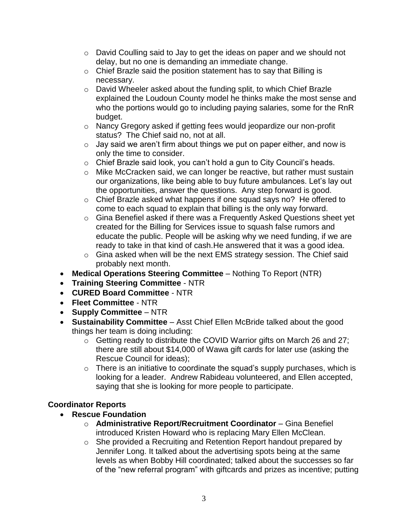- o David Coulling said to Jay to get the ideas on paper and we should not delay, but no one is demanding an immediate change.
- o Chief Brazle said the position statement has to say that Billing is necessary.
- o David Wheeler asked about the funding split, to which Chief Brazle explained the Loudoun County model he thinks make the most sense and who the portions would go to including paying salaries, some for the RnR budget.
- o Nancy Gregory asked if getting fees would jeopardize our non-profit status? The Chief said no, not at all.
- $\circ$  Jay said we aren't firm about things we put on paper either, and now is only the time to consider.
- o Chief Brazle said look, you can't hold a gun to City Council's heads.
- o Mike McCracken said, we can longer be reactive, but rather must sustain our organizations, like being able to buy future ambulances. Let's lay out the opportunities, answer the questions. Any step forward is good.
- o Chief Brazle asked what happens if one squad says no? He offered to come to each squad to explain that billing is the only way forward.
- o Gina Benefiel asked if there was a Frequently Asked Questions sheet yet created for the Billing for Services issue to squash false rumors and educate the public. People will be asking why we need funding, if we are ready to take in that kind of cash.He answered that it was a good idea.
- o Gina asked when will be the next EMS strategy session. The Chief said probably next month.
- **Medical Operations Steering Committee** Nothing To Report (NTR)
- **Training Steering Committee** NTR
- **CURED Board Committee** NTR
- **Fleet Committee** NTR
- **Supply Committee** NTR
- **Sustainability Committee** Asst Chief Ellen McBride talked about the good things her team is doing including:
	- o Getting ready to distribute the COVID Warrior gifts on March 26 and 27; there are still about \$14,000 of Wawa gift cards for later use (asking the Rescue Council for ideas);
	- $\circ$  There is an initiative to coordinate the squad's supply purchases, which is looking for a leader. Andrew Rabideau volunteered, and Ellen accepted, saying that she is looking for more people to participate.

## **Coordinator Reports**

- **Rescue Foundation** 
	- o **Administrative Report/Recruitment Coordinator** Gina Benefiel introduced Kristen Howard who is replacing Mary Ellen McClean.
	- o She provided a Recruiting and Retention Report handout prepared by Jennifer Long. It talked about the advertising spots being at the same levels as when Bobby Hill coordinated; talked about the successes so far of the "new referral program" with giftcards and prizes as incentive; putting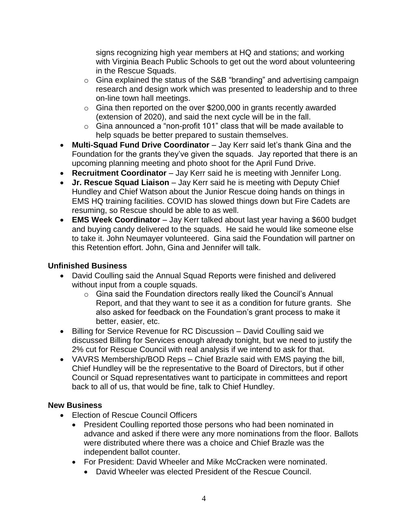signs recognizing high year members at HQ and stations; and working with Virginia Beach Public Schools to get out the word about volunteering in the Rescue Squads.

- o Gina explained the status of the S&B "branding" and advertising campaign research and design work which was presented to leadership and to three on-line town hall meetings.
- $\circ$  Gina then reported on the over \$200,000 in grants recently awarded (extension of 2020), and said the next cycle will be in the fall.
- o Gina announced a "non-profit 101" class that will be made available to help squads be better prepared to sustain themselves.
- **Multi-Squad Fund Drive Coordinator** Jay Kerr said let's thank Gina and the Foundation for the grants they've given the squads. Jay reported that there is an upcoming planning meeting and photo shoot for the April Fund Drive.
- **Recruitment Coordinator** Jay Kerr said he is meeting with Jennifer Long.
- **Jr. Rescue Squad Liaison** Jay Kerr said he is meeting with Deputy Chief Hundley and Chief Watson about the Junior Rescue doing hands on things in EMS HQ training facilities. COVID has slowed things down but Fire Cadets are resuming, so Rescue should be able to as well.
- **EMS Week Coordinator** Jay Kerr talked about last year having a \$600 budget and buying candy delivered to the squads. He said he would like someone else to take it. John Neumayer volunteered. Gina said the Foundation will partner on this Retention effort. John, Gina and Jennifer will talk.

### **Unfinished Business**

- David Coulling said the Annual Squad Reports were finished and delivered without input from a couple squads.
	- o Gina said the Foundation directors really liked the Council's Annual Report, and that they want to see it as a condition for future grants. She also asked for feedback on the Foundation's grant process to make it better, easier, etc.
- Billing for Service Revenue for RC Discussion David Coulling said we discussed Billing for Services enough already tonight, but we need to justify the 2% cut for Rescue Council with real analysis if we intend to ask for that.
- VAVRS Membership/BOD Reps Chief Brazle said with EMS paying the bill, Chief Hundley will be the representative to the Board of Directors, but if other Council or Squad representatives want to participate in committees and report back to all of us, that would be fine, talk to Chief Hundley.

#### **New Business**

- Election of Rescue Council Officers
	- President Coulling reported those persons who had been nominated in advance and asked if there were any more nominations from the floor. Ballots were distributed where there was a choice and Chief Brazle was the independent ballot counter.
	- For President: David Wheeler and Mike McCracken were nominated.
		- David Wheeler was elected President of the Rescue Council.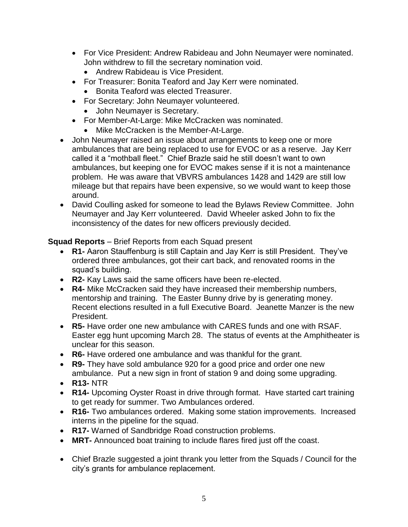- For Vice President: Andrew Rabideau and John Neumayer were nominated. John withdrew to fill the secretary nomination void.
	- Andrew Rabideau is Vice President.
- For Treasurer: Bonita Teaford and Jay Kerr were nominated.
	- **Bonita Teaford was elected Treasurer.**
- For Secretary: John Neumayer volunteered.
	- John Neumayer is Secretary.
- For Member-At-Large: Mike McCracken was nominated.
	- Mike McCracken is the Member-At-Large.
- John Neumayer raised an issue about arrangements to keep one or more ambulances that are being replaced to use for EVOC or as a reserve. Jay Kerr called it a "mothball fleet." Chief Brazle said he still doesn't want to own ambulances, but keeping one for EVOC makes sense if it is not a maintenance problem. He was aware that VBVRS ambulances 1428 and 1429 are still low mileage but that repairs have been expensive, so we would want to keep those around.
- David Coulling asked for someone to lead the Bylaws Review Committee. John Neumayer and Jay Kerr volunteered. David Wheeler asked John to fix the inconsistency of the dates for new officers previously decided.

**Squad Reports** – Brief Reports from each Squad present

- **R1-** Aaron Stauffenburg is still Captain and Jay Kerr is still President. They've ordered three ambulances, got their cart back, and renovated rooms in the squad's building.
- **R2-** Kay Laws said the same officers have been re-elected.
- **R4-** Mike McCracken said they have increased their membership numbers, mentorship and training. The Easter Bunny drive by is generating money. Recent elections resulted in a full Executive Board. Jeanette Manzer is the new President.
- **R5-** Have order one new ambulance with CARES funds and one with RSAF. Easter egg hunt upcoming March 28. The status of events at the Amphitheater is unclear for this season.
- **R6-** Have ordered one ambulance and was thankful for the grant.
- **R9-** They have sold ambulance 920 for a good price and order one new ambulance. Put a new sign in front of station 9 and doing some upgrading.
- **R13-** NTR
- **R14-** Upcoming Oyster Roast in drive through format. Have started cart training to get ready for summer. Two Ambulances ordered.
- **R16-** Two ambulances ordered. Making some station improvements. Increased interns in the pipeline for the squad.
- **R17-** Warned of Sandbridge Road construction problems.
- **MRT-** Announced boat training to include flares fired just off the coast.
- Chief Brazle suggested a joint thrank you letter from the Squads / Council for the city's grants for ambulance replacement.